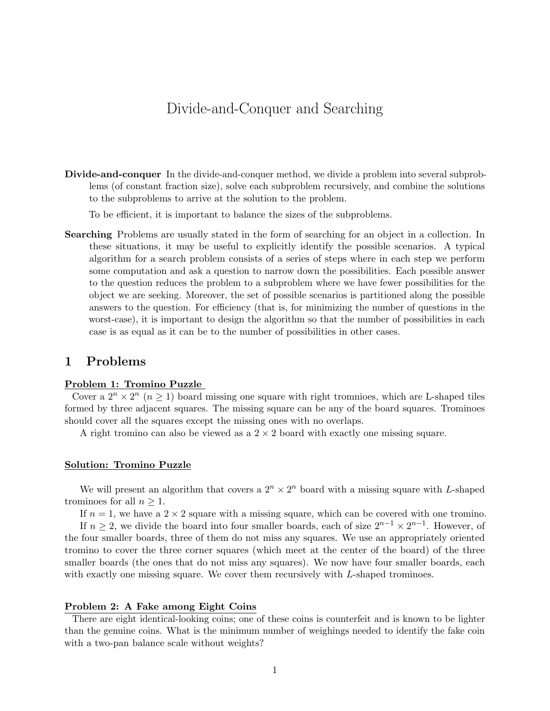# Divide-and-Conquer and Searching

Divide-and-conquer In the divide-and-conquer method, we divide a problem into several subproblems (of constant fraction size), solve each subproblem recursively, and combine the solutions to the subproblems to arrive at the solution to the problem.

To be efficient, it is important to balance the sizes of the subproblems.

Searching Problems are usually stated in the form of searching for an object in a collection. In these situations, it may be useful to explicitly identify the possible scenarios. A typical algorithm for a search problem consists of a series of steps where in each step we perform some computation and ask a question to narrow down the possibilities. Each possible answer to the question reduces the problem to a subproblem where we have fewer possibilities for the object we are seeking. Moreover, the set of possible scenarios is partitioned along the possible answers to the question. For efficiency (that is, for minimizing the number of questions in the worst-case), it is important to design the algorithm so that the number of possibilities in each case is as equal as it can be to the number of possibilities in other cases.

## 1 Problems

#### Problem 1: Tromino Puzzle

Cover a  $2^n \times 2^n$   $(n \geq 1)$  board missing one square with right tromnioes, which are L-shaped tiles formed by three adjacent squares. The missing square can be any of the board squares. Trominoes should cover all the squares except the missing ones with no overlaps.

A right tromino can also be viewed as a  $2 \times 2$  board with exactly one missing square.

#### Solution: Tromino Puzzle

We will present an algorithm that covers a  $2^n \times 2^n$  board with a missing square with L-shaped trominoes for all  $n \geq 1$ .

If  $n = 1$ , we have a  $2 \times 2$  square with a missing square, which can be covered with one tromino.

If  $n \geq 2$ , we divide the board into four smaller boards, each of size  $2^{n-1} \times 2^{n-1}$ . However, of the four smaller boards, three of them do not miss any squares. We use an appropriately oriented tromino to cover the three corner squares (which meet at the center of the board) of the three smaller boards (the ones that do not miss any squares). We now have four smaller boards, each with exactly one missing square. We cover them recursively with L-shaped trominoes.

### Problem 2: A Fake among Eight Coins

There are eight identical-looking coins; one of these coins is counterfeit and is known to be lighter than the genuine coins. What is the minimum number of weighings needed to identify the fake coin with a two-pan balance scale without weights?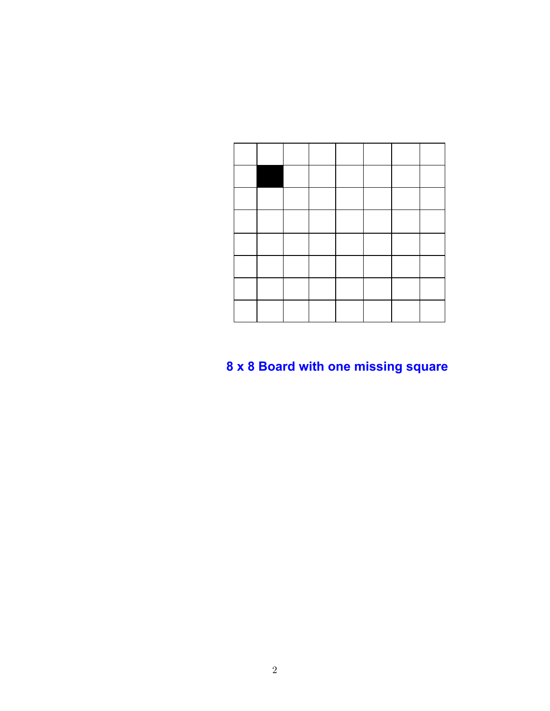# **x 8 Board with one missing square**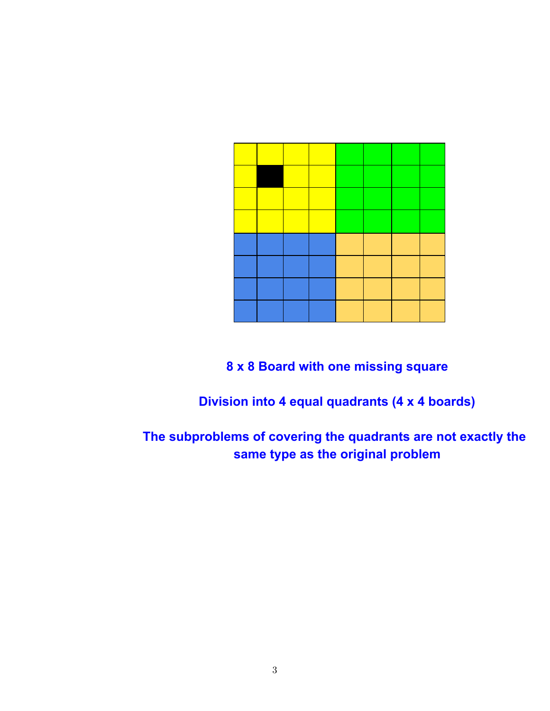**8 x 8 Board with one missing square**

**Division into 4 equal quadrants (4 x 4 boards)**

**The subproblems of covering the quadrants are not exactly the same type as the original problem**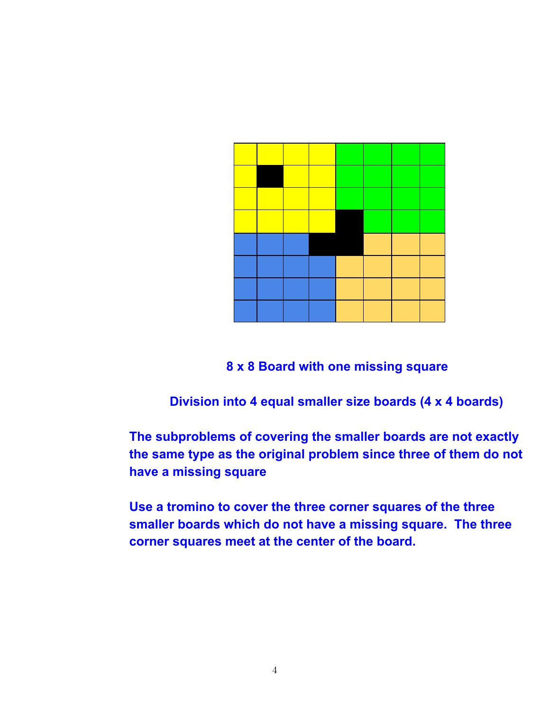**8 x 8 Board with one missing square**

**Division into 4 equal smaller size boards (4 x 4 boards)**

**The subproblems of covering the smaller boards are not exactly the same type as the original problem since three of them do not have a missing square**

**Use a tromino to cover the three corner squares of the three smaller boards which do not have a missing square. The three corner squares meet at the center of the board.**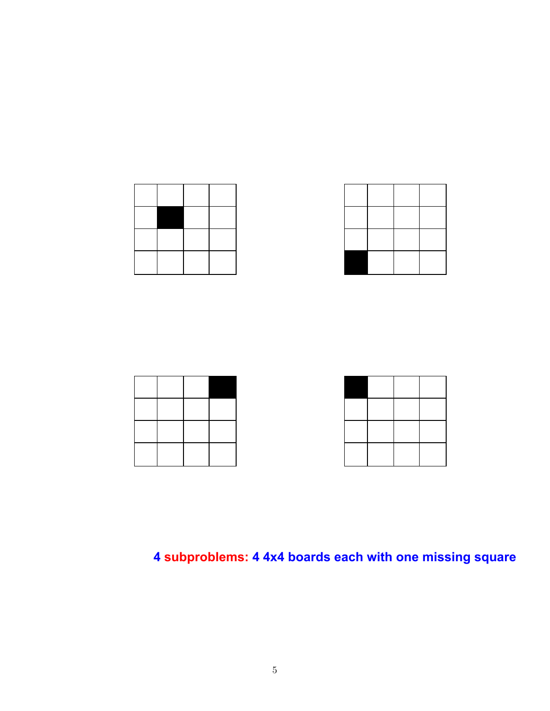

# **subproblems: 4 4x4 boards each with one missing square**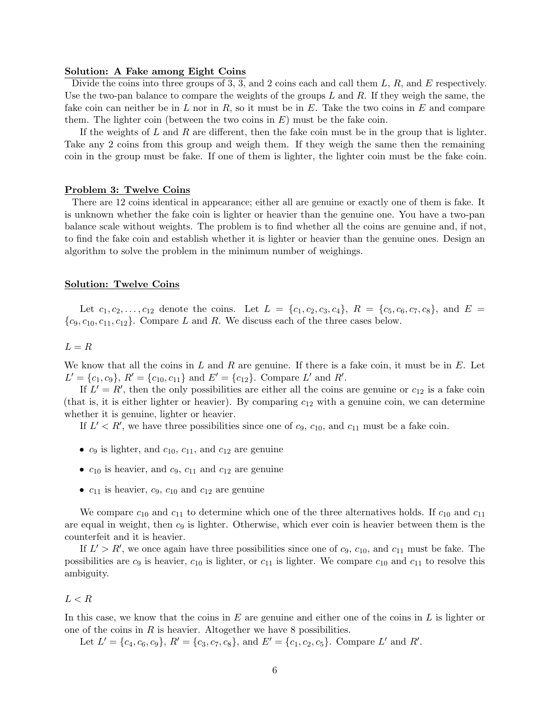#### Solution: A Fake among Eight Coins

Divide the coins into three groups of 3, 3, and 2 coins each and call them  $L, R$ , and E respectively. Use the two-pan balance to compare the weights of the groups  $L$  and  $R$ . If they weigh the same, the fake coin can neither be in L nor in R, so it must be in E. Take the two coins in E and compare them. The lighter coin (between the two coins in  $E$ ) must be the fake coin.

If the weights of  $L$  and  $R$  are different, then the fake coin must be in the group that is lighter. Take any 2 coins from this group and weigh them. If they weigh the same then the remaining coin in the group must be fake. If one of them is lighter, the lighter coin must be the fake coin.

#### Problem 3: Twelve Coins

There are 12 coins identical in appearance; either all are genuine or exactly one of them is fake. It is unknown whether the fake coin is lighter or heavier than the genuine one. You have a two-pan balance scale without weights. The problem is to find whether all the coins are genuine and, if not, to find the fake coin and establish whether it is lighter or heavier than the genuine ones. Design an algorithm to solve the problem in the minimum number of weighings.

#### Solution: Twelve Coins

Let  $c_1, c_2, \ldots, c_{12}$  denote the coins. Let  $L = \{c_1, c_2, c_3, c_4\}, R = \{c_5, c_6, c_7, c_8\}, \text{ and } E =$  ${c_9, c_{10}, c_{11}, c_{12}}.$  Compare L and R. We discuss each of the three cases below.

#### $L = R$

We know that all the coins in  $L$  and  $R$  are genuine. If there is a fake coin, it must be in  $E$ . Let  $L' = \{c_1, c_9\}, R' = \{c_{10}, c_{11}\}$  and  $E' = \{c_{12}\}.$  Compare  $L'$  and  $R'$ .

If  $L' = R'$ , then the only possibilities are either all the coins are genuine or  $c_{12}$  is a fake coin (that is, it is either lighter or heavier). By comparing  $c_{12}$  with a genuine coin, we can determine whether it is genuine, lighter or heavier.

If  $L' < R'$ , we have three possibilities since one of  $c_9$ ,  $c_{10}$ , and  $c_{11}$  must be a fake coin.

- $c_9$  is lighter, and  $c_{10}$ ,  $c_{11}$ , and  $c_{12}$  are genuine
- $c_{10}$  is heavier, and  $c_9$ ,  $c_{11}$  and  $c_{12}$  are genuine
- $c_{11}$  is heavier,  $c_9$ ,  $c_{10}$  and  $c_{12}$  are genuine

We compare  $c_{10}$  and  $c_{11}$  to determine which one of the three alternatives holds. If  $c_{10}$  and  $c_{11}$ are equal in weight, then  $c_9$  is lighter. Otherwise, which ever coin is heavier between them is the counterfeit and it is heavier.

If  $L' > R'$ , we once again have three possibilities since one of  $c_9$ ,  $c_{10}$ , and  $c_{11}$  must be fake. The possibilities are  $c_9$  is heavier,  $c_{10}$  is lighter, or  $c_{11}$  is lighter. We compare  $c_{10}$  and  $c_{11}$  to resolve this ambiguity.

#### $L < R$

In this case, we know that the coins in  $E$  are genuine and either one of the coins in  $L$  is lighter or one of the coins in  $R$  is heavier. Altogether we have 8 possibilities.

Let  $L' = \{c_4, c_6, c_9\}$ ,  $R' = \{c_3, c_7, c_8\}$ , and  $E' = \{c_1, c_2, c_5\}$ . Compare L' and R'.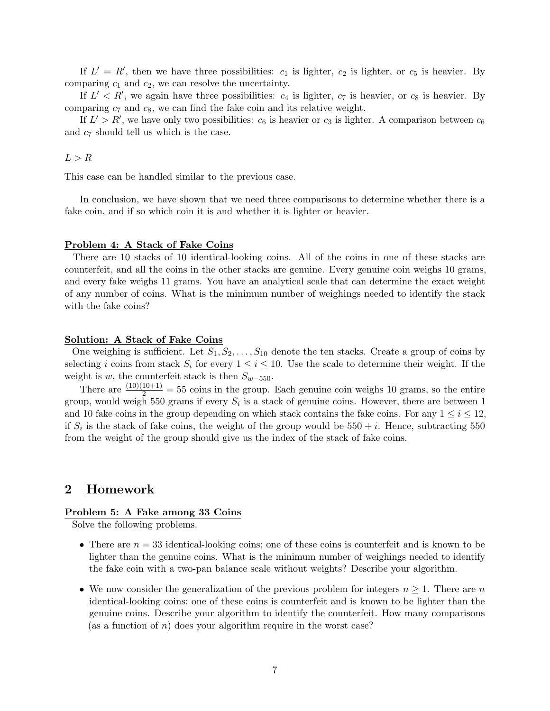If  $L' = R'$ , then we have three possibilities:  $c_1$  is lighter,  $c_2$  is lighter, or  $c_5$  is heavier. By comparing  $c_1$  and  $c_2$ , we can resolve the uncertainty.

If  $L' < R'$ , we again have three possibilities:  $c_4$  is lighter,  $c_7$  is heavier, or  $c_8$  is heavier. By comparing  $c_7$  and  $c_8$ , we can find the fake coin and its relative weight.

If  $L' > R'$ , we have only two possibilities:  $c_6$  is heavier or  $c_3$  is lighter. A comparison between  $c_6$ and  $c_7$  should tell us which is the case.

 $L > R$ 

This case can be handled similar to the previous case.

In conclusion, we have shown that we need three comparisons to determine whether there is a fake coin, and if so which coin it is and whether it is lighter or heavier.

#### Problem 4: A Stack of Fake Coins

There are 10 stacks of 10 identical-looking coins. All of the coins in one of these stacks are counterfeit, and all the coins in the other stacks are genuine. Every genuine coin weighs 10 grams, and every fake weighs 11 grams. You have an analytical scale that can determine the exact weight of any number of coins. What is the minimum number of weighings needed to identify the stack with the fake coins?

#### Solution: A Stack of Fake Coins

One weighing is sufficient. Let  $S_1, S_2, \ldots, S_{10}$  denote the ten stacks. Create a group of coins by selecting i coins from stack  $S_i$  for every  $1 \leq i \leq 10$ . Use the scale to determine their weight. If the weight is w, the counterfeit stack is then  $S_{w-550}$ .

There are  $\frac{(10)(10+1)}{2} = 55$  coins in the group. Each genuine coin weighs 10 grams, so the entire group, would weigh 550 grams if every  $S_i$  is a stack of genuine coins. However, there are between 1 and 10 fake coins in the group depending on which stack contains the fake coins. For any  $1 \leq i \leq 12$ , if  $S_i$  is the stack of fake coins, the weight of the group would be  $550 + i$ . Hence, subtracting 550 from the weight of the group should give us the index of the stack of fake coins.

## 2 Homework

#### Problem 5: A Fake among 33 Coins

Solve the following problems.

- There are  $n = 33$  identical-looking coins; one of these coins is counterfeit and is known to be lighter than the genuine coins. What is the minimum number of weighings needed to identify the fake coin with a two-pan balance scale without weights? Describe your algorithm.
- We now consider the generalization of the previous problem for integers  $n \geq 1$ . There are n identical-looking coins; one of these coins is counterfeit and is known to be lighter than the genuine coins. Describe your algorithm to identify the counterfeit. How many comparisons (as a function of  $n$ ) does your algorithm require in the worst case?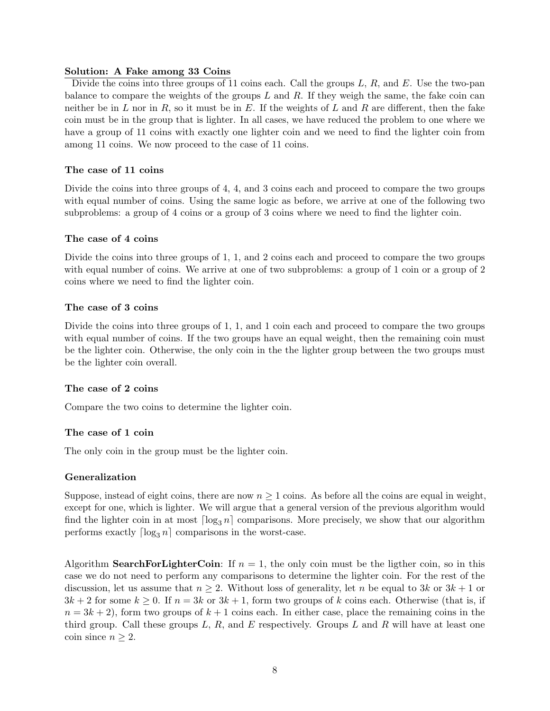## Solution: A Fake among 33 Coins

Divide the coins into three groups of 11 coins each. Call the groups  $L, R$ , and  $E$ . Use the two-pan balance to compare the weights of the groups  $L$  and  $R$ . If they weigh the same, the fake coin can neither be in L nor in R, so it must be in E. If the weights of L and R are different, then the fake coin must be in the group that is lighter. In all cases, we have reduced the problem to one where we have a group of 11 coins with exactly one lighter coin and we need to find the lighter coin from among 11 coins. We now proceed to the case of 11 coins.

## The case of 11 coins

Divide the coins into three groups of 4, 4, and 3 coins each and proceed to compare the two groups with equal number of coins. Using the same logic as before, we arrive at one of the following two subproblems: a group of 4 coins or a group of 3 coins where we need to find the lighter coin.

## The case of 4 coins

Divide the coins into three groups of 1, 1, and 2 coins each and proceed to compare the two groups with equal number of coins. We arrive at one of two subproblems: a group of 1 coin or a group of 2 coins where we need to find the lighter coin.

## The case of 3 coins

Divide the coins into three groups of 1, 1, and 1 coin each and proceed to compare the two groups with equal number of coins. If the two groups have an equal weight, then the remaining coin must be the lighter coin. Otherwise, the only coin in the the lighter group between the two groups must be the lighter coin overall.

### The case of 2 coins

Compare the two coins to determine the lighter coin.

## The case of 1 coin

The only coin in the group must be the lighter coin.

## Generalization

Suppose, instead of eight coins, there are now  $n \geq 1$  coins. As before all the coins are equal in weight, except for one, which is lighter. We will argue that a general version of the previous algorithm would find the lighter coin in at most  $\lceil \log_3 n \rceil$  comparisons. More precisely, we show that our algorithm performs exactly  $\lceil \log_3 n \rceil$  comparisons in the worst-case.

Algorithm **SearchForLighterCoin**: If  $n = 1$ , the only coin must be the ligther coin, so in this case we do not need to perform any comparisons to determine the lighter coin. For the rest of the discussion, let us assume that  $n \geq 2$ . Without loss of generality, let n be equal to 3k or  $3k + 1$  or  $3k + 2$  for some  $k \geq 0$ . If  $n = 3k$  or  $3k + 1$ , form two groups of k coins each. Otherwise (that is, if  $n = 3k + 2$ , form two groups of  $k + 1$  coins each. In either case, place the remaining coins in the third group. Call these groups  $L, R$ , and  $E$  respectively. Groups  $L$  and  $R$  will have at least one coin since  $n \geq 2$ .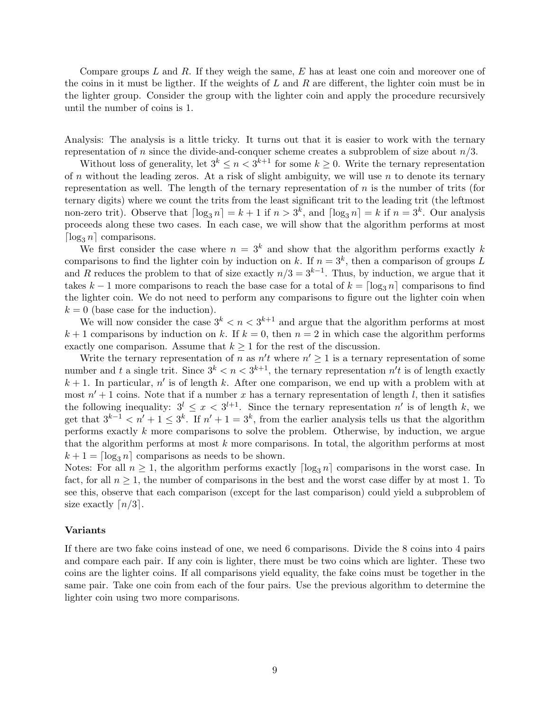Compare groups  $L$  and  $R$ . If they weigh the same,  $E$  has at least one coin and moreover one of the coins in it must be ligther. If the weights of  $L$  and  $R$  are different, the lighter coin must be in the lighter group. Consider the group with the lighter coin and apply the procedure recursively until the number of coins is 1.

Analysis: The analysis is a little tricky. It turns out that it is easier to work with the ternary representation of n since the divide-and-conquer scheme creates a subproblem of size about  $n/3$ .

Without loss of generality, let  $3^k \leq n < 3^{k+1}$  for some  $k \geq 0$ . Write the ternary representation of n without the leading zeros. At a risk of slight ambiguity, we will use  $n$  to denote its ternary representation as well. The length of the ternary representation of  $n$  is the number of trits (for ternary digits) where we count the trits from the least significant trit to the leading trit (the leftmost non-zero trit). Observe that  $\lceil \log_3 n \rceil = k + 1$  if  $n > 3^k$ , and  $\lceil \log_3 n \rceil = k$  if  $n = 3^k$ . Our analysis proceeds along these two cases. In each case, we will show that the algorithm performs at most  $\lceil \log_3 n \rceil$  comparisons.

We first consider the case where  $n = 3<sup>k</sup>$  and show that the algorithm performs exactly k comparisons to find the lighter coin by induction on k. If  $n = 3<sup>k</sup>$ , then a comparison of groups L and R reduces the problem to that of size exactly  $n/3 = 3^{k-1}$ . Thus, by induction, we argue that it takes  $k-1$  more comparisons to reach the base case for a total of  $k = \lceil \log_3 n \rceil$  comparisons to find the lighter coin. We do not need to perform any comparisons to figure out the lighter coin when  $k = 0$  (base case for the induction).

We will now consider the case  $3^k < n < 3^{k+1}$  and argue that the algorithm performs at most  $k+1$  comparisons by induction on k. If  $k=0$ , then  $n=2$  in which case the algorithm performs exactly one comparison. Assume that  $k \geq 1$  for the rest of the discussion.

Write the ternary representation of n as  $n't$  where  $n' \geq 1$  is a ternary representation of some number and t a single trit. Since  $3^k < n < 3^{k+1}$ , the ternary representation  $n't$  is of length exactly  $k + 1$ . In particular, n' is of length k. After one comparison, we end up with a problem with at most  $n' + 1$  coins. Note that if a number x has a ternary representation of length l, then it satisfies the following inequality:  $3^{l} \leq x < 3^{l+1}$ . Since the ternary representation n' is of length k, we get that  $3^{k-1} < n' + 1 \leq 3^k$ . If  $n' + 1 = 3^k$ , from the earlier analysis tells us that the algorithm performs exactly k more comparisons to solve the problem. Otherwise, by induction, we argue that the algorithm performs at most  $k$  more comparisons. In total, the algorithm performs at most  $k + 1 = \lfloor \log_3 n \rfloor$  comparisons as needs to be shown.

Notes: For all  $n \geq 1$ , the algorithm performs exactly  $\lceil \log_3 n \rceil$  comparisons in the worst case. In fact, for all  $n \geq 1$ , the number of comparisons in the best and the worst case differ by at most 1. To see this, observe that each comparison (except for the last comparison) could yield a subproblem of size exactly  $\lceil n/3 \rceil$ .

#### Variants

If there are two fake coins instead of one, we need 6 comparisons. Divide the 8 coins into 4 pairs and compare each pair. If any coin is lighter, there must be two coins which are lighter. These two coins are the lighter coins. If all comparisons yield equality, the fake coins must be together in the same pair. Take one coin from each of the four pairs. Use the previous algorithm to determine the lighter coin using two more comparisons.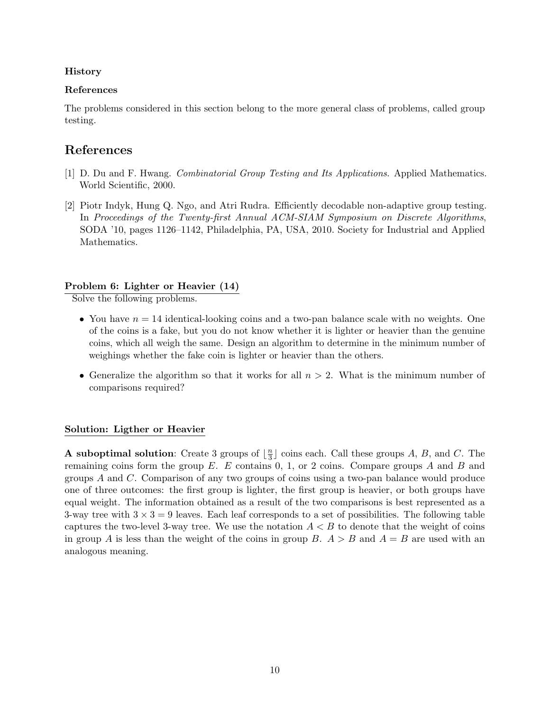## History

## References

The problems considered in this section belong to the more general class of problems, called group testing.

# References

- [1] D. Du and F. Hwang. Combinatorial Group Testing and Its Applications. Applied Mathematics. World Scientific, 2000.
- [2] Piotr Indyk, Hung Q. Ngo, and Atri Rudra. Efficiently decodable non-adaptive group testing. In Proceedings of the Twenty-first Annual ACM-SIAM Symposium on Discrete Algorithms, SODA '10, pages 1126–1142, Philadelphia, PA, USA, 2010. Society for Industrial and Applied Mathematics.

## Problem 6: Lighter or Heavier (14)

Solve the following problems.

- You have  $n = 14$  identical-looking coins and a two-pan balance scale with no weights. One of the coins is a fake, but you do not know whether it is lighter or heavier than the genuine coins, which all weigh the same. Design an algorithm to determine in the minimum number of weighings whether the fake coin is lighter or heavier than the others.
- Generalize the algorithm so that it works for all  $n > 2$ . What is the minimum number of comparisons required?

## Solution: Ligther or Heavier

**A** suboptimal solution: Create 3 groups of  $\frac{n}{3}$  $\frac{n}{3}$  coins each. Call these groups A, B, and C. The remaining coins form the group  $E$ . E contains 0, 1, or 2 coins. Compare groups A and B and groups A and C. Comparison of any two groups of coins using a two-pan balance would produce one of three outcomes: the first group is lighter, the first group is heavier, or both groups have equal weight. The information obtained as a result of the two comparisons is best represented as a 3-way tree with  $3 \times 3 = 9$  leaves. Each leaf corresponds to a set of possibilities. The following table captures the two-level 3-way tree. We use the notation  $A < B$  to denote that the weight of coins in group A is less than the weight of the coins in group B.  $A > B$  and  $A = B$  are used with an analogous meaning.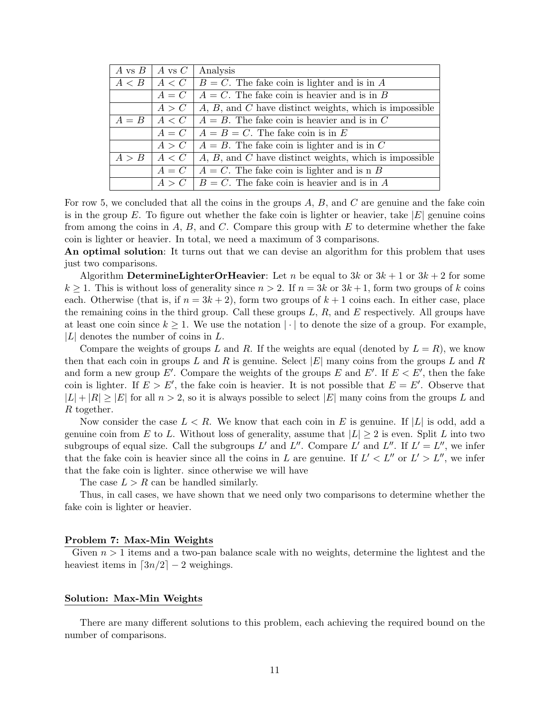|         | A vs $B \mid A$ vs $C \mid$ | Analysis                                                    |
|---------|-----------------------------|-------------------------------------------------------------|
| A < B   |                             | $A < C$   $B = C$ . The fake coin is lighter and is in A    |
|         | $A = C$                     | $A = C$ . The fake coin is heavier and is in B              |
|         | A > C                       | $A, B,$ and $C$ have distinct weights, which is impossible  |
| $A = B$ |                             | $A \lt C \mid A = B$ . The fake coin is heavier and is in C |
|         | $A = C$                     | $A = B = C$ . The fake coin is in E                         |
|         | A > C                       | $A = B$ . The fake coin is lighter and is in C              |
| A > B   | A < C                       | $A, B,$ and $C$ have distinct weights, which is impossible  |
|         |                             | $A = C \mid A = C$ . The fake coin is lighter and is n B    |
|         | A > C                       | $B = C$ . The fake coin is heavier and is in A              |

For row 5, we concluded that all the coins in the groups  $A, B$ , and  $C$  are genuine and the fake coin is in the group E. To figure out whether the fake coin is lighter or heavier, take  $|E|$  genuine coins from among the coins in  $A, B$ , and  $C$ . Compare this group with  $E$  to determine whether the fake coin is lighter or heavier. In total, we need a maximum of 3 comparisons.

An optimal solution: It turns out that we can devise an algorithm for this problem that uses just two comparisons.

Algorithm DetermineLighterOrHeavier: Let n be equal to  $3k$  or  $3k+1$  or  $3k+2$  for some  $k \geq 1$ . This is without loss of generality since  $n > 2$ . If  $n = 3k$  or  $3k + 1$ , form two groups of k coins each. Otherwise (that is, if  $n = 3k + 2$ ), form two groups of  $k + 1$  coins each. In either case, place the remaining coins in the third group. Call these groups  $L, R$ , and  $E$  respectively. All groups have at least one coin since  $k \geq 1$ . We use the notation  $|\cdot|$  to denote the size of a group. For example,  $|L|$  denotes the number of coins in  $L$ .

Compare the weights of groups L and R. If the weights are equal (denoted by  $L = R$ ), we know then that each coin in groups L and R is genuine. Select  $|E|$  many coins from the groups L and R and form a new group E'. Compare the weights of the groups E and E'. If  $E < E'$ , then the fake coin is lighter. If  $E > E'$ , the fake coin is heavier. It is not possible that  $E = E'$ . Observe that  $|L| + |R| \ge |E|$  for all  $n > 2$ , so it is always possible to select  $|E|$  many coins from the groups L and R together.

Now consider the case  $L < R$ . We know that each coin in E is genuine. If |L| is odd, add a genuine coin from E to L. Without loss of generality, assume that  $|L| \geq 2$  is even. Split L into two subgroups of equal size. Call the subgroups L' and L''. Compare L' and L''. If  $L' = L''$ , we infer that the fake coin is heavier since all the coins in L are genuine. If  $L' < L''$  or  $L' > L''$ , we infer that the fake coin is lighter. since otherwise we will have

The case  $L > R$  can be handled similarly.

Thus, in call cases, we have shown that we need only two comparisons to determine whether the fake coin is lighter or heavier.

#### Problem 7: Max-Min Weights

Given  $n > 1$  items and a two-pan balance scale with no weights, determine the lightest and the heaviest items in  $\lceil 3n/2 \rceil - 2$  weighings.

#### Solution: Max-Min Weights

There are many different solutions to this problem, each achieving the required bound on the number of comparisons.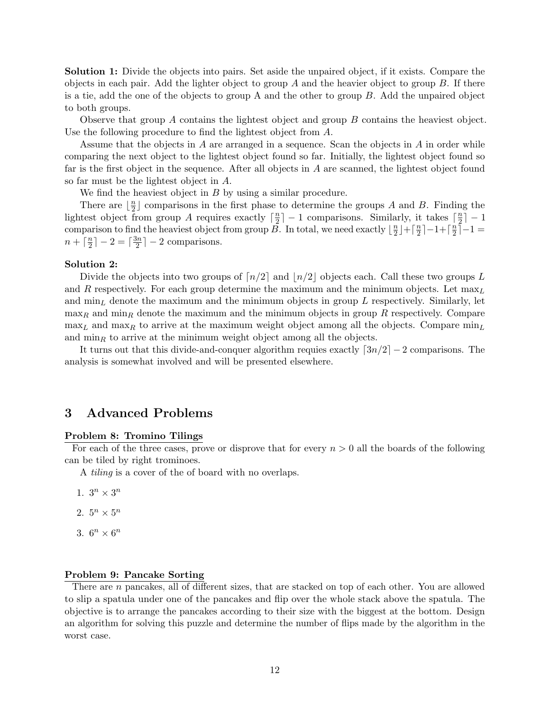Solution 1: Divide the objects into pairs. Set aside the unpaired object, if it exists. Compare the objects in each pair. Add the lighter object to group A and the heavier object to group  $B$ . If there is a tie, add the one of the objects to group A and the other to group B. Add the unpaired object to both groups.

Observe that group A contains the lightest object and group B contains the heaviest object. Use the following procedure to find the lightest object from A.

Assume that the objects in A are arranged in a sequence. Scan the objects in A in order while comparing the next object to the lightest object found so far. Initially, the lightest object found so far is the first object in the sequence. After all objects in A are scanned, the lightest object found so far must be the lightest object in A.

We find the heaviest object in B by using a similar procedure.

There are  $\frac{n}{2}$  $\frac{n}{2}$  comparisons in the first phase to determine the groups A and B. Finding the lightest object from group A requires exactly  $\lceil \frac{n}{2} \rceil$  $\lfloor \frac{n}{2} \rfloor - 1$  comparisons. Similarly, it takes  $\lceil \frac{n}{2} \rceil$  $\frac{n}{2}$ ] – 1 comparison to find the heaviest object from group  $\overline{B}$ . In total, we need exactly  $\lfloor \frac{n}{2} \rfloor$  $\frac{n}{2}$  | +  $\lceil \frac{n}{2}$  $\frac{n}{2}$ ]  $-1+\lceil \frac{n}{2}$  $\frac{n}{2}$ ] –1 =  $n + \lceil \frac{n}{2} \rceil$  $\frac{n}{2}$ ] – 2 =  $\lceil \frac{3n}{2}$  $\frac{3n}{2}$ ] – 2 comparisons.

#### Solution 2:

Divide the objects into two groups of  $\lceil n/2 \rceil$  and  $\lceil n/2 \rceil$  objects each. Call these two groups L and R respectively. For each group determine the maximum and the minimum objects. Let  $\max_L$ and  $\min_L$  denote the maximum and the minimum objects in group L respectively. Similarly, let  $\max_R$  and  $\min_R$  denote the maximum and the minimum objects in group R respectively. Compare  $\max_L$  and  $\max_R$  to arrive at the maximum weight object among all the objects. Compare  $\min_L$ and  $\min_R$  to arrive at the minimum weight object among all the objects.

It turns out that this divide-and-conquer algorithm requies exactly  $\lceil 3n/2 \rceil - 2$  comparisons. The analysis is somewhat involved and will be presented elsewhere.

## 3 Advanced Problems

#### Problem 8: Tromino Tilings

For each of the three cases, prove or disprove that for every  $n > 0$  all the boards of the following can be tiled by right trominoes.

A tiling is a cover of the of board with no overlaps.

- 1.  $3^n \times 3^n$
- 2.  $5^n \times 5^n$
- 3.  $6^n \times 6^n$

#### Problem 9: Pancake Sorting

There are n pancakes, all of different sizes, that are stacked on top of each other. You are allowed to slip a spatula under one of the pancakes and flip over the whole stack above the spatula. The objective is to arrange the pancakes according to their size with the biggest at the bottom. Design an algorithm for solving this puzzle and determine the number of flips made by the algorithm in the worst case.